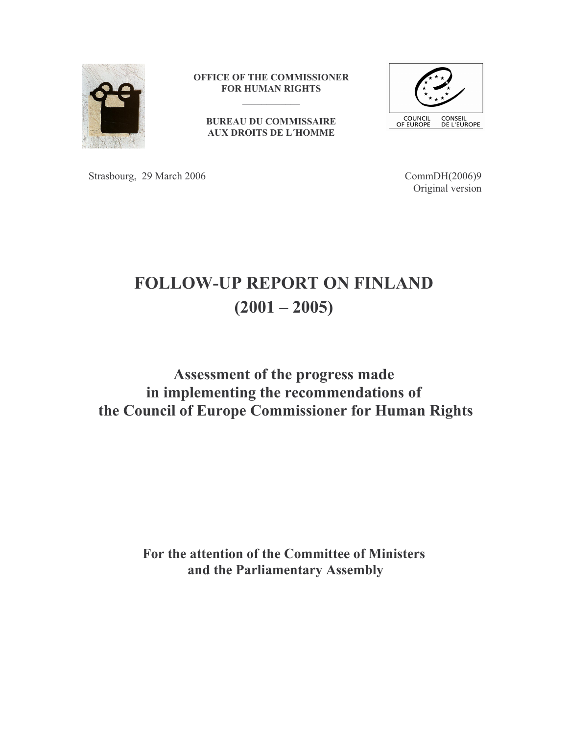

OFFICE OF THE COMMISSIONER **FOR HUMAN RIGHTS** 

**BUREAU DU COMMISSAIRE AUX DROITS DE L'HOMME** 



Strasbourg, 29 March 2006

CommDH(2006)9 Original version

# **FOLLOW-UP REPORT ON FINLAND**  $(2001 - 2005)$

# Assessment of the progress made in implementing the recommendations of the Council of Europe Commissioner for Human Rights

For the attention of the Committee of Ministers and the Parliamentary Assembly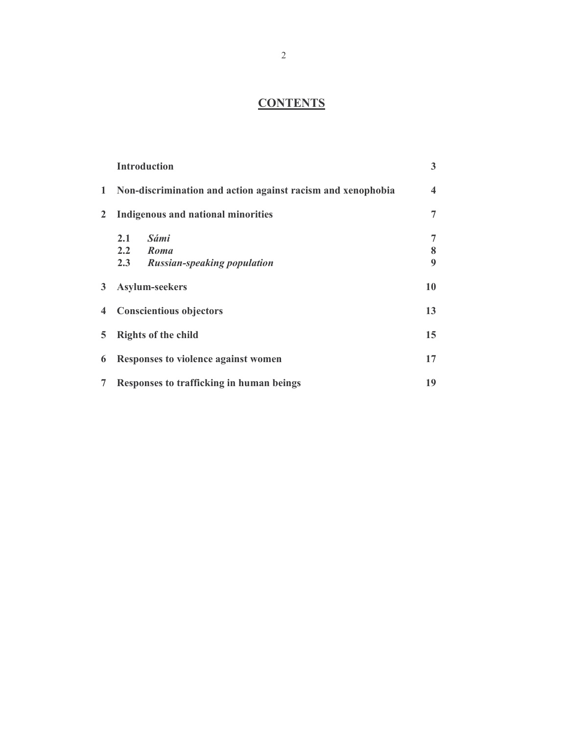# **CONTENTS**

|                | <b>Introduction</b>                                         | 3                       |
|----------------|-------------------------------------------------------------|-------------------------|
| 1              | Non-discrimination and action against racism and xenophobia | $\overline{\mathbf{4}}$ |
| $\overline{2}$ | <b>Indigenous and national minorities</b>                   | 7                       |
|                | Sámi<br>2.1                                                 | 7                       |
|                | 2.2 Roma                                                    | 8                       |
|                | 2.3<br><b>Russian-speaking population</b>                   | $\boldsymbol{Q}$        |
| 3              | Asylum-seekers                                              | 10                      |
| $\overline{4}$ | <b>Conscientious objectors</b>                              | 13                      |
| 5.             | <b>Rights of the child</b>                                  | 15                      |
| 6              | Responses to violence against women                         | 17                      |
| 7              | Responses to trafficking in human beings                    | 19                      |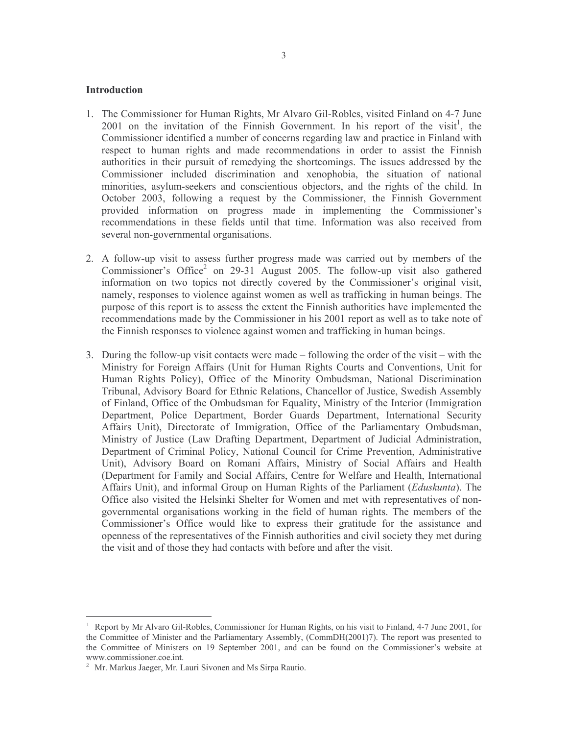#### **Introduction**

- 1. The Commissioner for Human Rights, Mr Alvaro Gil-Robles, visited Finland on 4-7 June 2001 on the invitation of the Finnish Government. In his report of the visit<sup>1</sup>, the Commissioner identified a number of concerns regarding law and practice in Finland with respect to human rights and made recommendations in order to assist the Finnish authorities in their pursuit of remedying the shortcomings. The issues addressed by the Commissioner included discrimination and xenophobia, the situation of national minorities, asylum-seekers and conscientious objectors, and the rights of the child. In October 2003, following a request by the Commissioner, the Finnish Government provided information on progress made in implementing the Commissioner's recommendations in these fields until that time. Information was also received from several non-governmental organisations.
- 2. A follow-up visit to assess further progress made was carried out by members of the Commissioner's Office<sup>2</sup> on 29-31 August 2005. The follow-up visit also gathered information on two topics not directly covered by the Commissioner's original visit, namely, responses to violence against women as well as trafficking in human beings. The purpose of this report is to assess the extent the Finnish authorities have implemented the recommendations made by the Commissioner in his 2001 report as well as to take note of the Finnish responses to violence against women and trafficking in human beings.
- 3. During the follow-up visit contacts were made  $-$  following the order of the visit  $-$  with the Ministry for Foreign Affairs (Unit for Human Rights Courts and Conventions, Unit for Human Rights Policy), Office of the Minority Ombudsman, National Discrimination Tribunal, Advisory Board for Ethnic Relations, Chancellor of Justice, Swedish Assembly of Finland, Office of the Ombudsman for Equality, Ministry of the Interior (Immigration Department, Police Department, Border Guards Department, International Security Affairs Unit), Directorate of Immigration, Office of the Parliamentary Ombudsman, Ministry of Justice (Law Drafting Department, Department of Judicial Administration, Department of Criminal Policy, National Council for Crime Prevention, Administrative Unit), Advisory Board on Romani Affairs, Ministry of Social Affairs and Health (Department for Family and Social Affairs, Centre for Welfare and Health, International Affairs Unit), and informal Group on Human Rights of the Parliament (Eduskunta). The Office also visited the Helsinki Shelter for Women and met with representatives of nongovernmental organisations working in the field of human rights. The members of the Commissioner's Office would like to express their gratitude for the assistance and openness of the representatives of the Finnish authorities and civil society they met during the visit and of those they had contacts with before and after the visit.

Report by Mr Alvaro Gil-Robles, Commissioner for Human Rights, on his visit to Finland, 4-7 June 2001, for the Committee of Minister and the Parliamentary Assembly, (CommDH(2001)7). The report was presented to the Committee of Ministers on 19 September 2001, and can be found on the Commissioner's website at www.commissioner.coe.int.

<sup>&</sup>lt;sup>2</sup> Mr. Markus Jaeger, Mr. Lauri Sivonen and Ms Sirpa Rautio.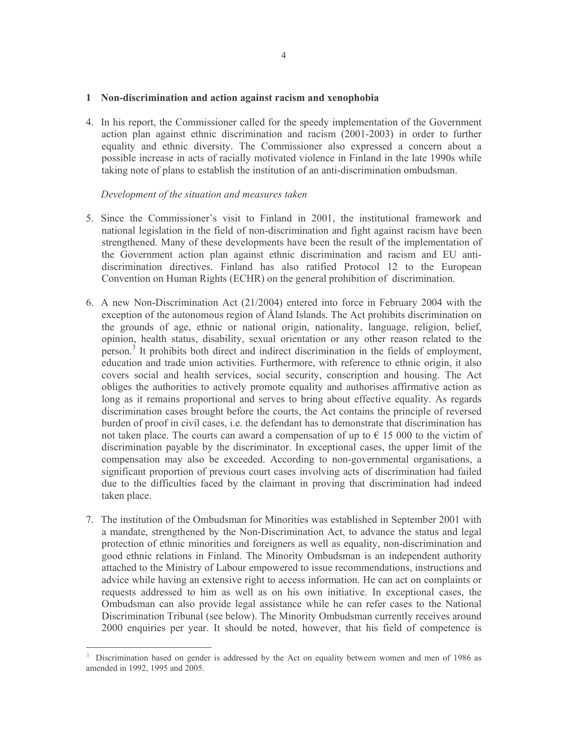#### 1 Non-discrimination and action against racism and xenophobia

4. In his report, the Commissioner called for the speedy implementation of the Government action plan against ethnic discrimination and racism (2001-2003) in order to further equality and ethnic diversity. The Commissioner also expressed a concern about a possible increase in acts of racially motivated violence in Finland in the late 1990s while taking note of plans to establish the institution of an anti-discrimination ombudsman.

- 5. Since the Commissioner's visit to Finland in 2001, the institutional framework and national legislation in the field of non-discrimination and fight against racism have been strengthened. Many of these developments have been the result of the implementation of the Government action plan against ethnic discrimination and racism and EU antidiscrimination directives. Finland has also ratified Protocol 12 to the European Convention on Human Rights (ECHR) on the general prohibition of discrimination.
- 6. A new Non-Discrimination Act  $(21/2004)$  entered into force in February 2004 with the exception of the autonomous region of Åland Islands. The Act prohibits discrimination on the grounds of age, ethnic or national origin, nationality, language, religion, belief, opinion, health status, disability, sexual orientation or any other reason related to the person.<sup>3</sup> It prohibits both direct and indirect discrimination in the fields of employment, education and trade union activities. Furthermore, with reference to ethnic origin, it also covers social and health services, social security, conscription and housing. The Act obliges the authorities to actively promote equality and authorises affirmative action as long as it remains proportional and serves to bring about effective equality. As regards discrimination cases brought before the courts, the Act contains the principle of reversed burden of proof in civil cases, i.e. the defendant has to demonstrate that discrimination has not taken place. The courts can award a compensation of up to  $\epsilon$  15 000 to the victim of discrimination payable by the discriminator. In exceptional cases, the upper limit of the compensation may also be exceeded. According to non-governmental organisations, a significant proportion of previous court cases involving acts of discrimination had failed due to the difficulties faced by the claimant in proving that discrimination had indeed taken place.
- 7. The institution of the Ombudsman for Minorities was established in September 2001 with a mandate, strengthened by the Non-Discrimination Act, to advance the status and legal protection of ethnic minorities and foreigners as well as equality, non-discrimination and good ethnic relations in Finland. The Minority Ombudsman is an independent authority attached to the Ministry of Labour empowered to issue recommendations, instructions and advice while having an extensive right to access information. He can act on complaints or requests addressed to him as well as on his own initiative. In exceptional cases, the Ombudsman can also provide legal assistance while he can refer cases to the National Discrimination Tribunal (see below). The Minority Ombudsman currently receives around 2000 enquiries per year. It should be noted, however, that his field of competence is

Discrimination based on gender is addressed by the Act on equality between women and men of 1986 as amended in 1992, 1995 and 2005.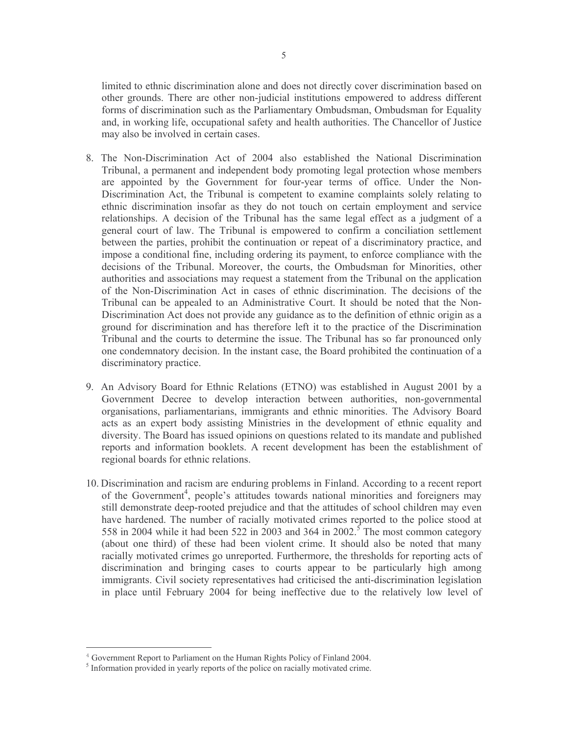limited to ethnic discrimination alone and does not directly cover discrimination based on other grounds. There are other non-judicial institutions empowered to address different forms of discrimination such as the Parliamentary Ombudsman, Ombudsman for Equality and, in working life, occupational safety and health authorities. The Chancellor of Justice may also be involved in certain cases.

- 8. The Non-Discrimination Act of 2004 also established the National Discrimination Tribunal, a permanent and independent body promoting legal protection whose members are appointed by the Government for four-year terms of office. Under the Non-Discrimination Act, the Tribunal is competent to examine complaints solely relating to ethnic discrimination insofar as they do not touch on certain employment and service relationships. A decision of the Tribunal has the same legal effect as a judgment of a general court of law. The Tribunal is empowered to confirm a conciliation settlement between the parties, prohibit the continuation or repeat of a discriminatory practice, and impose a conditional fine, including ordering its payment, to enforce compliance with the decisions of the Tribunal. Moreover, the courts, the Ombudsman for Minorities, other authorities and associations may request a statement from the Tribunal on the application of the Non-Discrimination Act in cases of ethnic discrimination. The decisions of the Tribunal can be appealed to an Administrative Court. It should be noted that the Non-Discrimination Act does not provide any guidance as to the definition of ethnic origin as a ground for discrimination and has therefore left it to the practice of the Discrimination Tribunal and the courts to determine the issue. The Tribunal has so far pronounced only one condemnatory decision. In the instant case, the Board prohibited the continuation of a discriminatory practice.
- 9. An Advisory Board for Ethnic Relations (ETNO) was established in August 2001 by a Government Decree to develop interaction between authorities, non-governmental organisations, parliamentarians, immigrants and ethnic minorities. The Advisory Board acts as an expert body assisting Ministries in the development of ethnic equality and diversity. The Board has issued opinions on questions related to its mandate and published reports and information booklets. A recent development has been the establishment of regional boards for ethnic relations.
- 10. Discrimination and racism are enduring problems in Finland. According to a recent report of the Government<sup>4</sup>, people's attitudes towards national minorities and foreigners may still demonstrate deep-rooted prejudice and that the attitudes of school children may even have hardened. The number of racially motivated crimes reported to the police stood at 558 in 2004 while it had been 522 in 2003 and 364 in 2002.<sup>5</sup> The most common category (about one third) of these had been violent crime. It should also be noted that many racially motivated crimes go unreported. Furthermore, the thresholds for reporting acts of discrimination and bringing cases to courts appear to be particularly high among immigrants. Civil society representatives had criticised the anti-discrimination legislation in place until February 2004 for being ineffective due to the relatively low level of

<sup>&</sup>lt;sup>4</sup> Government Report to Parliament on the Human Rights Policy of Finland 2004.

<sup>&</sup>lt;sup>5</sup> Information provided in yearly reports of the police on racially motivated crime.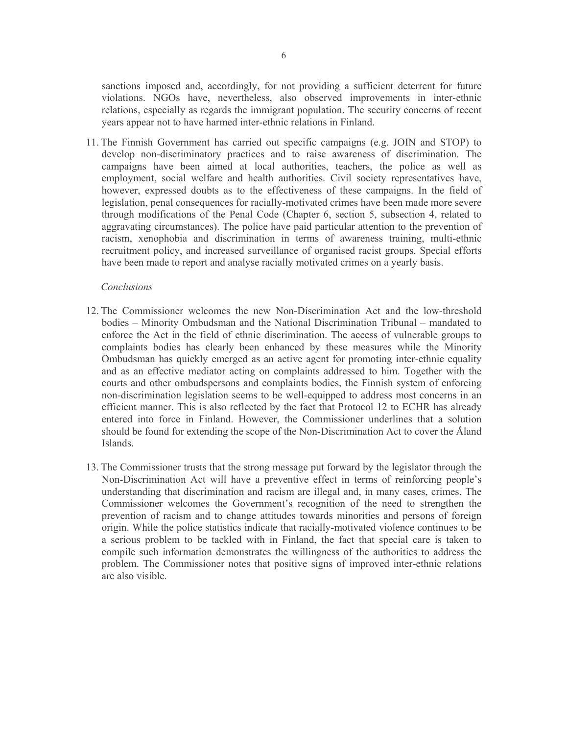sanctions imposed and, accordingly, for not providing a sufficient deterrent for future violations. NGOs have, nevertheless, also observed improvements in inter-ethnic relations, especially as regards the immigrant population. The security concerns of recent years appear not to have harmed inter-ethnic relations in Finland.

11. The Finnish Government has carried out specific campaigns (e.g. JOIN and STOP) to develop non-discriminatory practices and to raise awareness of discrimination. The campaigns have been aimed at local authorities, teachers, the police as well as employment, social welfare and health authorities. Civil society representatives have, however, expressed doubts as to the effectiveness of these campaigns. In the field of legislation, penal consequences for racially-motivated crimes have been made more severe through modifications of the Penal Code (Chapter 6, section 5, subsection 4, related to aggravating circumstances). The police have paid particular attention to the prevention of racism, xenophobia and discrimination in terms of awareness training, multi-ethnic recruitment policy, and increased surveillance of organised racist groups. Special efforts have been made to report and analyse racially motivated crimes on a yearly basis.

## Conclusions

- 12. The Commissioner welcomes the new Non-Discrimination Act and the low-threshold bodies – Minority Ombudsman and the National Discrimination Tribunal – mandated to enforce the Act in the field of ethnic discrimination. The access of vulnerable groups to complaints bodies has clearly been enhanced by these measures while the Minority Ombudsman has quickly emerged as an active agent for promoting inter-ethnic equality and as an effective mediator acting on complaints addressed to him. Together with the courts and other ombudspersons and complaints bodies, the Finnish system of enforcing non-discrimination legislation seems to be well-equipped to address most concerns in an efficient manner. This is also reflected by the fact that Protocol 12 to ECHR has already entered into force in Finland. However, the Commissioner underlines that a solution should be found for extending the scope of the Non-Discrimination Act to cover the Åland Islands
- 13. The Commissioner trusts that the strong message put forward by the legislator through the Non-Discrimination Act will have a preventive effect in terms of reinforcing people's understanding that discrimination and racism are illegal and, in many cases, crimes. The Commissioner welcomes the Government's recognition of the need to strengthen the prevention of racism and to change attitudes towards minorities and persons of foreign origin. While the police statistics indicate that racially-motivated violence continues to be a serious problem to be tackled with in Finland, the fact that special care is taken to compile such information demonstrates the willingness of the authorities to address the problem. The Commissioner notes that positive signs of improved inter-ethnic relations are also visible.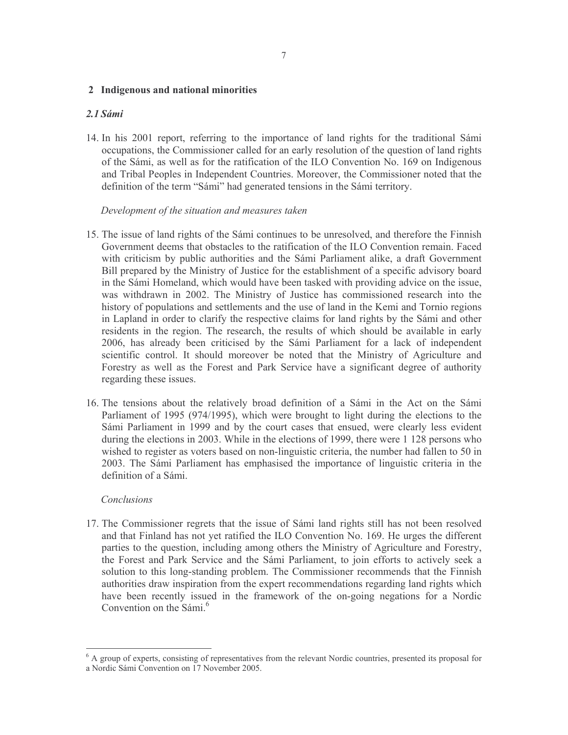#### $7\phantom{.0}$

#### 2 Indigenous and national minorities

# $2.1$  Sámi

14. In his 2001 report, referring to the importance of land rights for the traditional Sámi occupations, the Commissioner called for an early resolution of the question of land rights of the Sámi, as well as for the ratification of the ILO Convention No. 169 on Indigenous and Tribal Peoples in Independent Countries. Moreover, the Commissioner noted that the definition of the term "Sámi" had generated tensions in the Sámi territory.

## Development of the situation and measures taken

- 15. The issue of land rights of the Sámi continues to be unresolved, and therefore the Finnish Government deems that obstacles to the ratification of the ILO Convention remain. Faced with criticism by public authorities and the Sámi Parliament alike, a draft Government Bill prepared by the Ministry of Justice for the establishment of a specific advisory board in the Sámi Homeland, which would have been tasked with providing advice on the issue, was withdrawn in 2002. The Ministry of Justice has commissioned research into the history of populations and settlements and the use of land in the Kemi and Tornio regions in Lapland in order to clarify the respective claims for land rights by the Sámi and other residents in the region. The research, the results of which should be available in early 2006, has already been criticised by the Sámi Parliament for a lack of independent scientific control. It should moreover be noted that the Ministry of Agriculture and Forestry as well as the Forest and Park Service have a significant degree of authority regarding these issues.
- 16. The tensions about the relatively broad definition of a Sámi in the Act on the Sámi Parliament of 1995 (974/1995), which were brought to light during the elections to the Sámi Parliament in 1999 and by the court cases that ensued, were clearly less evident during the elections in 2003. While in the elections of 1999, there were 1 128 persons who wished to register as voters based on non-linguistic criteria, the number had fallen to 50 in 2003. The Sámi Parliament has emphasised the importance of linguistic criteria in the definition of a Sámi.

#### Conclusions

17. The Commissioner regrets that the issue of Sámi land rights still has not been resolved and that Finland has not yet ratified the ILO Convention No. 169. He urges the different parties to the question, including among others the Ministry of Agriculture and Forestry, the Forest and Park Service and the Sámi Parliament, to join efforts to actively seek a solution to this long-standing problem. The Commissioner recommends that the Finnish authorities draw inspiration from the expert recommendations regarding land rights which have been recently issued in the framework of the on-going negations for a Nordic Convention on the Sámi.<sup>6</sup>

<sup>&</sup>lt;sup>6</sup> A group of experts, consisting of representatives from the relevant Nordic countries, presented its proposal for a Nordic Sámi Convention on 17 November 2005.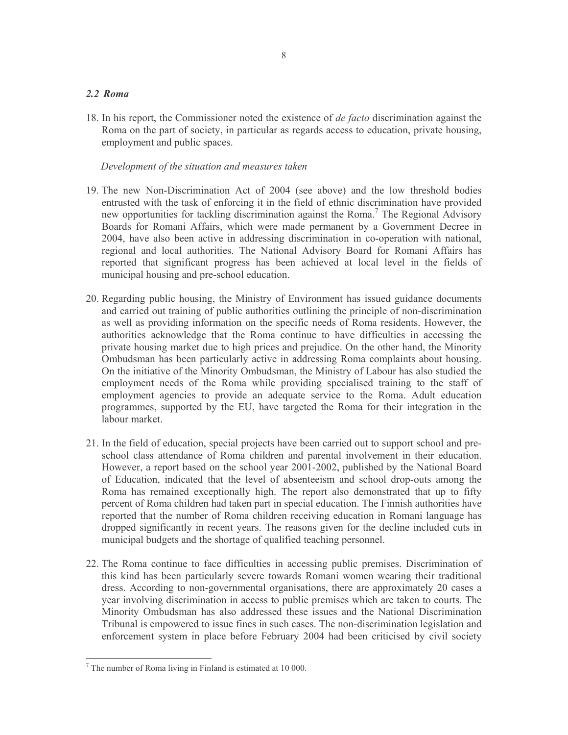# $2.2$  Roma

18. In his report, the Commissioner noted the existence of *de facto* discrimination against the Roma on the part of society, in particular as regards access to education, private housing, employment and public spaces.

- 19. The new Non-Discrimination Act of 2004 (see above) and the low threshold bodies entrusted with the task of enforcing it in the field of ethnic discrimination have provided new opportunities for tackling discrimination against the Roma.<sup>7</sup> The Regional Advisory Boards for Romani Affairs, which were made permanent by a Government Decree in 2004, have also been active in addressing discrimination in co-operation with national, regional and local authorities. The National Advisory Board for Romani Affairs has reported that significant progress has been achieved at local level in the fields of municipal housing and pre-school education.
- 20. Regarding public housing, the Ministry of Environment has issued guidance documents and carried out training of public authorities outlining the principle of non-discrimination as well as providing information on the specific needs of Roma residents. However, the authorities acknowledge that the Roma continue to have difficulties in accessing the private housing market due to high prices and prejudice. On the other hand, the Minority Ombudsman has been particularly active in addressing Roma complaints about housing. On the initiative of the Minority Ombudsman, the Ministry of Labour has also studied the employment needs of the Roma while providing specialised training to the staff of employment agencies to provide an adequate service to the Roma. Adult education programmes, supported by the EU, have targeted the Roma for their integration in the labour market.
- 21. In the field of education, special projects have been carried out to support school and preschool class attendance of Roma children and parental involvement in their education. However, a report based on the school year 2001-2002, published by the National Board of Education, indicated that the level of absenteeism and school drop-outs among the Roma has remained exceptionally high. The report also demonstrated that up to fifty percent of Roma children had taken part in special education. The Finnish authorities have reported that the number of Roma children receiving education in Romani language has dropped significantly in recent years. The reasons given for the decline included cuts in municipal budgets and the shortage of qualified teaching personnel.
- 22. The Roma continue to face difficulties in accessing public premises. Discrimination of this kind has been particularly severe towards Romani women wearing their traditional dress. According to non-governmental organisations, there are approximately 20 cases a year involving discrimination in access to public premises which are taken to courts. The Minority Ombudsman has also addressed these issues and the National Discrimination Tribunal is empowered to issue fines in such cases. The non-discrimination legislation and enforcement system in place before February 2004 had been criticised by civil society

 $7$  The number of Roma living in Finland is estimated at 10 000.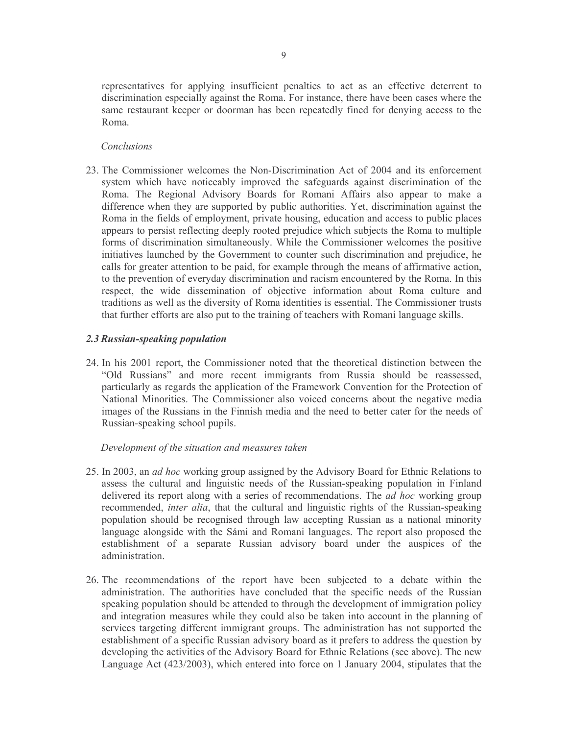representatives for applying insufficient penalties to act as an effective deterrent to discrimination especially against the Roma. For instance, there have been cases where the same restaurant keeper or doorman has been repeatedly fined for denying access to the Roma.

# Conclusions

23. The Commissioner welcomes the Non-Discrimination Act of 2004 and its enforcement system which have noticeably improved the safeguards against discrimination of the Roma. The Regional Advisory Boards for Romani Affairs also appear to make a difference when they are supported by public authorities. Yet, discrimination against the Roma in the fields of employment, private housing, education and access to public places appears to persist reflecting deeply rooted prejudice which subjects the Roma to multiple forms of discrimination simultaneously. While the Commissioner welcomes the positive initiatives launched by the Government to counter such discrimination and prejudice, he calls for greater attention to be paid, for example through the means of affirmative action, to the prevention of everyday discrimination and racism encountered by the Roma. In this respect, the wide dissemination of objective information about Roma culture and traditions as well as the diversity of Roma identities is essential. The Commissioner trusts that further efforts are also put to the training of teachers with Romani language skills.

## 2.3 Russian-speaking population

24. In his 2001 report, the Commissioner noted that the theoretical distinction between the "Old Russians" and more recent immigrants from Russia should be reassessed, particularly as regards the application of the Framework Convention for the Protection of National Minorities. The Commissioner also voiced concerns about the negative media images of the Russians in the Finnish media and the need to better cater for the needs of Russian-speaking school pupils.

- 25. In 2003, an *ad hoc* working group assigned by the Advisory Board for Ethnic Relations to assess the cultural and linguistic needs of the Russian-speaking population in Finland delivered its report along with a series of recommendations. The *ad hoc* working group recommended, *inter alia*, that the cultural and linguistic rights of the Russian-speaking population should be recognised through law accepting Russian as a national minority language alongside with the Sámi and Romani languages. The report also proposed the establishment of a separate Russian advisory board under the auspices of the administration.
- 26. The recommendations of the report have been subjected to a debate within the administration. The authorities have concluded that the specific needs of the Russian speaking population should be attended to through the development of immigration policy and integration measures while they could also be taken into account in the planning of services targeting different immigrant groups. The administration has not supported the establishment of a specific Russian advisory board as it prefers to address the question by developing the activities of the Advisory Board for Ethnic Relations (see above). The new Language Act (423/2003), which entered into force on 1 January 2004, stipulates that the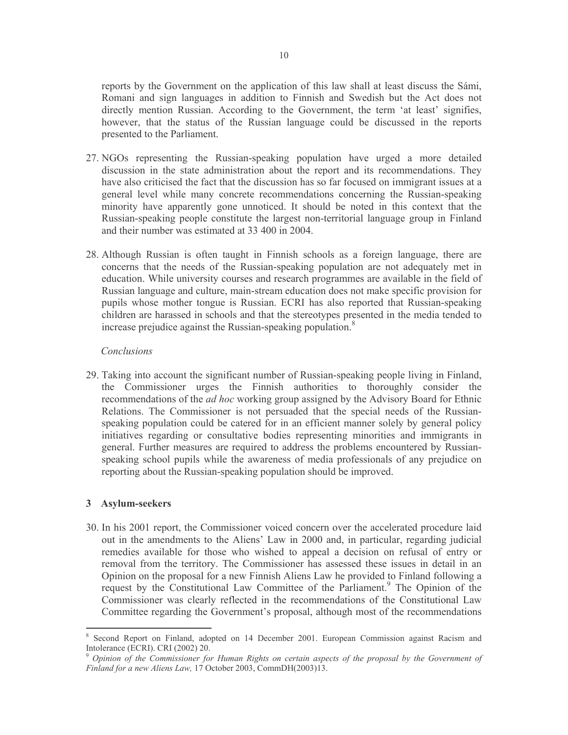reports by the Government on the application of this law shall at least discuss the Sámi, Romani and sign languages in addition to Finnish and Swedish but the Act does not directly mention Russian. According to the Government, the term 'at least' signifies, however, that the status of the Russian language could be discussed in the reports presented to the Parliament.

- 27. NGOs representing the Russian-speaking population have urged a more detailed discussion in the state administration about the report and its recommendations. They have also criticised the fact that the discussion has so far focused on immigrant issues at a general level while many concrete recommendations concerning the Russian-speaking minority have apparently gone unnoticed. It should be noted in this context that the Russian-speaking people constitute the largest non-territorial language group in Finland and their number was estimated at 33 400 in 2004.
- 28. Although Russian is often taught in Finnish schools as a foreign language, there are concerns that the needs of the Russian-speaking population are not adequately met in education. While university courses and research programmes are available in the field of Russian language and culture, main-stream education does not make specific provision for pupils whose mother tongue is Russian. ECRI has also reported that Russian-speaking children are harassed in schools and that the stereotypes presented in the media tended to increase prejudice against the Russian-speaking population.<sup>8</sup>

#### Conclusions

29. Taking into account the significant number of Russian-speaking people living in Finland, the Commissioner urges the Finnish authorities to thoroughly consider the recommendations of the *ad hoc* working group assigned by the Advisory Board for Ethnic Relations. The Commissioner is not persuaded that the special needs of the Russianspeaking population could be catered for in an efficient manner solely by general policy initiatives regarding or consultative bodies representing minorities and immigrants in general. Further measures are required to address the problems encountered by Russianspeaking school pupils while the awareness of media professionals of any prejudice on reporting about the Russian-speaking population should be improved.

# 3 Asylum-seekers

30. In his 2001 report, the Commissioner voiced concern over the accelerated procedure laid out in the amendments to the Aliens' Law in 2000 and, in particular, regarding judicial remedies available for those who wished to appeal a decision on refusal of entry or removal from the territory. The Commissioner has assessed these issues in detail in an Opinion on the proposal for a new Finnish Aliens Law he provided to Finland following a request by the Constitutional Law Committee of the Parliament.<sup>9</sup> The Opinion of the Commissioner was clearly reflected in the recommendations of the Constitutional Law Committee regarding the Government's proposal, although most of the recommendations

Second Report on Finland, adopted on 14 December 2001. European Commission against Racism and Intolerance (ECRI). CRI (2002) 20.

Opinion of the Commissioner for Human Rights on certain aspects of the proposal by the Government of Finland for a new Aliens Law, 17 October 2003, CommDH(2003)13.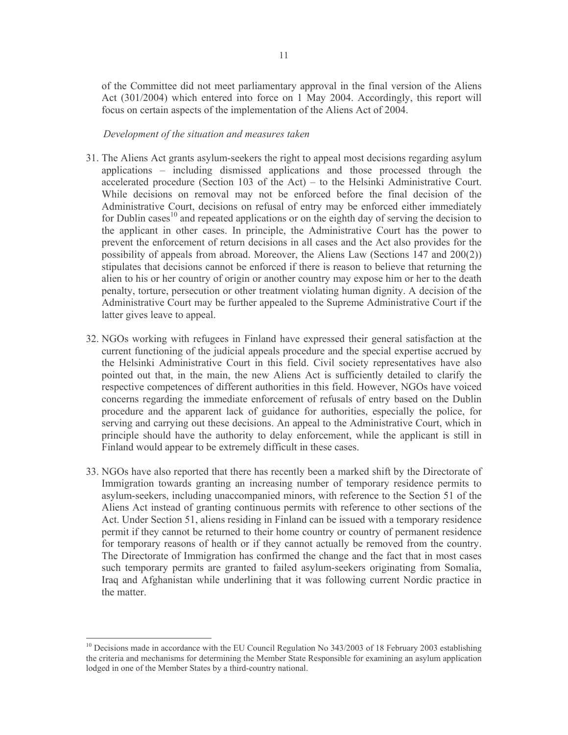of the Committee did not meet parliamentary approval in the final version of the Aliens Act (301/2004) which entered into force on 1 May 2004. Accordingly, this report will focus on certain aspects of the implementation of the Aliens Act of 2004.

- 31. The Aliens Act grants asylum-seekers the right to appeal most decisions regarding asylum applications – including dismissed applications and those processed through the accelerated procedure (Section 103 of the Act) – to the Helsinki Administrative Court. While decisions on removal may not be enforced before the final decision of the Administrative Court, decisions on refusal of entry may be enforced either immediately for Dublin cases<sup>10</sup> and repeated applications or on the eighth day of serving the decision to the applicant in other cases. In principle, the Administrative Court has the power to prevent the enforcement of return decisions in all cases and the Act also provides for the possibility of appeals from abroad. Moreover, the Aliens Law (Sections  $147$  and  $200(2)$ ) stipulates that decisions cannot be enforced if there is reason to believe that returning the alien to his or her country of origin or another country may expose him or her to the death penalty, torture, persecution or other treatment violating human dignity. A decision of the Administrative Court may be further appealed to the Supreme Administrative Court if the latter gives leave to appeal.
- 32. NGOs working with refugees in Finland have expressed their general satisfaction at the current functioning of the judicial appeals procedure and the special expertise accrued by the Helsinki Administrative Court in this field. Civil society representatives have also pointed out that, in the main, the new Aliens Act is sufficiently detailed to clarify the respective competences of different authorities in this field. However, NGOs have voiced concerns regarding the immediate enforcement of refusals of entry based on the Dublin procedure and the apparent lack of guidance for authorities, especially the police, for serving and carrying out these decisions. An appeal to the Administrative Court, which in principle should have the authority to delay enforcement, while the applicant is still in Finland would appear to be extremely difficult in these cases.
- 33. NGOs have also reported that there has recently been a marked shift by the Directorate of Immigration towards granting an increasing number of temporary residence permits to asylum-seekers, including unaccompanied minors, with reference to the Section 51 of the Aliens Act instead of granting continuous permits with reference to other sections of the Act. Under Section 51, aliens residing in Finland can be issued with a temporary residence permit if they cannot be returned to their home country or country of permanent residence for temporary reasons of health or if they cannot actually be removed from the country. The Directorate of Immigration has confirmed the change and the fact that in most cases such temporary permits are granted to failed asylum-seekers originating from Somalia, Iraq and Afghanistan while underlining that it was following current Nordic practice in the matter.

 $10$  Decisions made in accordance with the EU Council Regulation No 343/2003 of 18 February 2003 establishing the criteria and mechanisms for determining the Member State Responsible for examining an asylum application lodged in one of the Member States by a third-country national.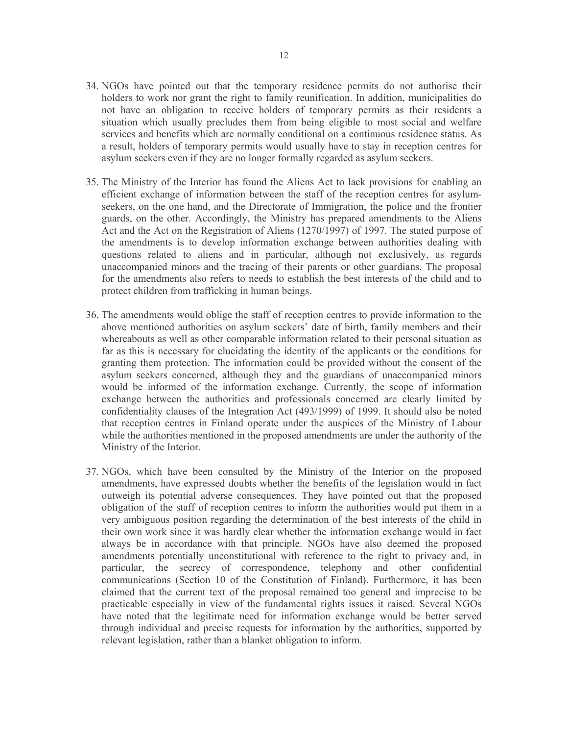- 34. NGOs have pointed out that the temporary residence permits do not authorise their holders to work nor grant the right to family reunification. In addition, municipalities do not have an obligation to receive holders of temporary permits as their residents a situation which usually precludes them from being eligible to most social and welfare services and benefits which are normally conditional on a continuous residence status. As a result, holders of temporary permits would usually have to stay in reception centres for asylum seekers even if they are no longer formally regarded as asylum seekers.
- 35. The Ministry of the Interior has found the Aliens Act to lack provisions for enabling an efficient exchange of information between the staff of the reception centres for asylumseekers, on the one hand, and the Directorate of Immigration, the police and the frontier guards, on the other. Accordingly, the Ministry has prepared amendments to the Aliens Act and the Act on the Registration of Aliens (1270/1997) of 1997. The stated purpose of the amendments is to develop information exchange between authorities dealing with questions related to aliens and in particular, although not exclusively, as regards unaccompanied minors and the tracing of their parents or other guardians. The proposal for the amendments also refers to needs to establish the best interests of the child and to protect children from trafficking in human beings.
- 36. The amendments would oblige the staff of reception centres to provide information to the above mentioned authorities on asylum seekers' date of birth, family members and their whereabouts as well as other comparable information related to their personal situation as far as this is necessary for elucidating the identity of the applicants or the conditions for granting them protection. The information could be provided without the consent of the asylum seekers concerned, although they and the guardians of unaccompanied minors would be informed of the information exchange. Currently, the scope of information exchange between the authorities and professionals concerned are clearly limited by confidentiality clauses of the Integration Act (493/1999) of 1999. It should also be noted that reception centres in Finland operate under the auspices of the Ministry of Labour while the authorities mentioned in the proposed amendments are under the authority of the Ministry of the Interior.
- 37. NGOs, which have been consulted by the Ministry of the Interior on the proposed amendments, have expressed doubts whether the benefits of the legislation would in fact outweigh its potential adverse consequences. They have pointed out that the proposed obligation of the staff of reception centres to inform the authorities would put them in a very ambiguous position regarding the determination of the best interests of the child in their own work since it was hardly clear whether the information exchange would in fact always be in accordance with that principle. NGOs have also deemed the proposed amendments potentially unconstitutional with reference to the right to privacy and, in particular, the secrecy of correspondence, telephony and other confidential communications (Section 10 of the Constitution of Finland). Furthermore, it has been claimed that the current text of the proposal remained too general and imprecise to be practicable especially in view of the fundamental rights issues it raised. Several NGOs have noted that the legitimate need for information exchange would be better served through individual and precise requests for information by the authorities, supported by relevant legislation, rather than a blanket obligation to inform.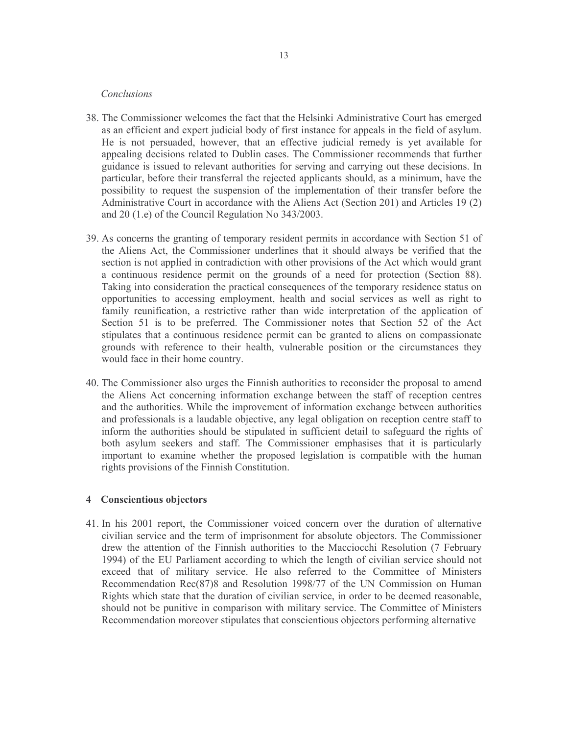#### Conclusions

- 38. The Commissioner welcomes the fact that the Helsinki Administrative Court has emerged as an efficient and expert judicial body of first instance for appeals in the field of asylum. He is not persuaded, however, that an effective judicial remedy is yet available for appealing decisions related to Dublin cases. The Commissioner recommends that further guidance is issued to relevant authorities for serving and carrying out these decisions. In particular, before their transferral the rejected applicants should, as a minimum, have the possibility to request the suspension of the implementation of their transfer before the Administrative Court in accordance with the Aliens Act (Section 201) and Articles 19 (2) and 20 (1.e) of the Council Regulation No 343/2003.
- 39. As concerns the granting of temporary resident permits in accordance with Section 51 of the Aliens Act, the Commissioner underlines that it should always be verified that the section is not applied in contradiction with other provisions of the Act which would grant a continuous residence permit on the grounds of a need for protection (Section 88). Taking into consideration the practical consequences of the temporary residence status on opportunities to accessing employment, health and social services as well as right to family reunification, a restrictive rather than wide interpretation of the application of Section 51 is to be preferred. The Commissioner notes that Section 52 of the Act stipulates that a continuous residence permit can be granted to aliens on compassionate grounds with reference to their health, vulnerable position or the circumstances they would face in their home country.
- 40. The Commissioner also urges the Finnish authorities to reconsider the proposal to amend the Aliens Act concerning information exchange between the staff of reception centres and the authorities. While the improvement of information exchange between authorities and professionals is a laudable objective, any legal obligation on reception centre staff to inform the authorities should be stipulated in sufficient detail to safeguard the rights of both asylum seekers and staff. The Commissioner emphasises that it is particularly important to examine whether the proposed legislation is compatible with the human rights provisions of the Finnish Constitution.

#### 4 Conscientious objectors

41. In his 2001 report, the Commissioner voiced concern over the duration of alternative civilian service and the term of imprisonment for absolute objectors. The Commissioner drew the attention of the Finnish authorities to the Macciocchi Resolution (7 February 1994) of the EU Parliament according to which the length of civilian service should not exceed that of military service. He also referred to the Committee of Ministers Recommendation Rec(87)8 and Resolution 1998/77 of the UN Commission on Human Rights which state that the duration of civilian service, in order to be deemed reasonable, should not be punitive in comparison with military service. The Committee of Ministers Recommendation moreover stipulates that conscientious objectors performing alternative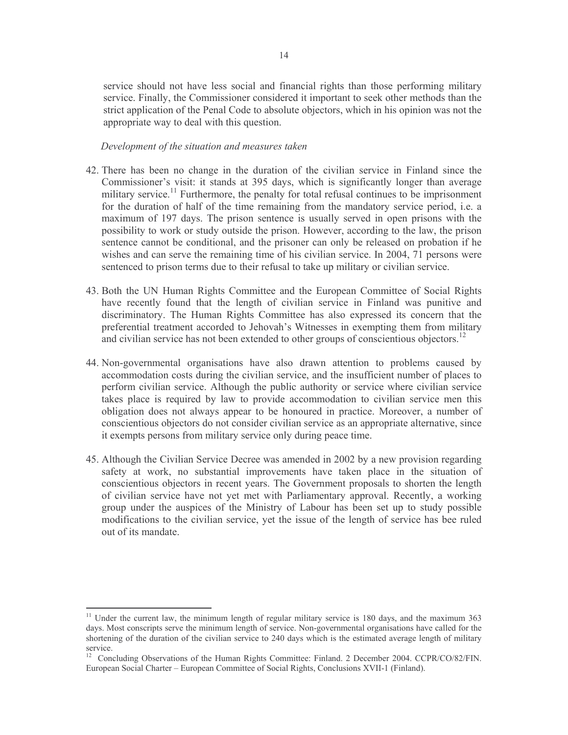service should not have less social and financial rights than those performing military service. Finally, the Commissioner considered it important to seek other methods than the strict application of the Penal Code to absolute objectors, which in his opinion was not the appropriate way to deal with this question.

- 42. There has been no change in the duration of the civilian service in Finland since the Commissioner's visit: it stands at 395 days, which is significantly longer than average military service.<sup>11</sup> Furthermore, the penalty for total refusal continues to be imprisonment for the duration of half of the time remaining from the mandatory service period, i.e. a maximum of 197 days. The prison sentence is usually served in open prisons with the possibility to work or study outside the prison. However, according to the law, the prison sentence cannot be conditional, and the prisoner can only be released on probation if he wishes and can serve the remaining time of his civilian service. In 2004, 71 persons were sentenced to prison terms due to their refusal to take up military or civilian service.
- 43. Both the UN Human Rights Committee and the European Committee of Social Rights have recently found that the length of civilian service in Finland was punitive and discriminatory. The Human Rights Committee has also expressed its concern that the preferential treatment accorded to Jehovah's Witnesses in exempting them from military and civilian service has not been extended to other groups of conscientious objectors.<sup>12</sup>
- 44. Non-governmental organisations have also drawn attention to problems caused by accommodation costs during the civilian service, and the insufficient number of places to perform civilian service. Although the public authority or service where civilian service takes place is required by law to provide accommodation to civilian service men this obligation does not always appear to be honoured in practice. Moreover, a number of conscientious objectors do not consider civilian service as an appropriate alternative, since it exempts persons from military service only during peace time.
- 45. Although the Civilian Service Decree was amended in 2002 by a new provision regarding safety at work, no substantial improvements have taken place in the situation of conscientious objectors in recent years. The Government proposals to shorten the length of civilian service have not yet met with Parliamentary approval. Recently, a working group under the auspices of the Ministry of Labour has been set up to study possible modifications to the civilian service, yet the issue of the length of service has bee ruled out of its mandate.

<sup>&</sup>lt;sup>11</sup> Under the current law, the minimum length of regular military service is 180 days, and the maximum 363 days. Most conscripts serve the minimum length of service. Non-governmental organisations have called for the shortening of the duration of the civilian service to 240 days which is the estimated average length of military service.

<sup>&</sup>lt;sup>12</sup> Concluding Observations of the Human Rights Committee: Finland. 2 December 2004. CCPR/CO/82/FIN. European Social Charter - European Committee of Social Rights, Conclusions XVII-1 (Finland).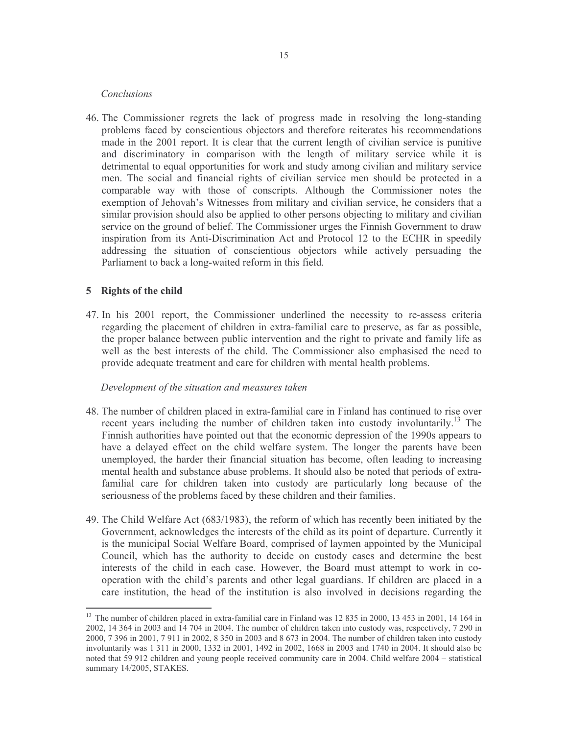#### Conclusions

46. The Commissioner regrets the lack of progress made in resolving the long-standing problems faced by conscientious objectors and therefore reiterates his recommendations made in the 2001 report. It is clear that the current length of civilian service is punitive and discriminatory in comparison with the length of military service while it is detrimental to equal opportunities for work and study among civilian and military service men. The social and financial rights of civilian service men should be protected in a comparable way with those of conscripts. Although the Commissioner notes the exemption of Jehovah's Witnesses from military and civilian service, he considers that a similar provision should also be applied to other persons objecting to military and civilian service on the ground of belief. The Commissioner urges the Finnish Government to draw inspiration from its Anti-Discrimination Act and Protocol 12 to the ECHR in speedily addressing the situation of conscientious objectors while actively persuading the Parliament to back a long-waited reform in this field.

# 5 Rights of the child

47. In his 2001 report, the Commissioner underlined the necessity to re-assess criteria regarding the placement of children in extra-familial care to preserve, as far as possible, the proper balance between public intervention and the right to private and family life as well as the best interests of the child. The Commissioner also emphasised the need to provide adequate treatment and care for children with mental health problems.

- 48. The number of children placed in extra-familial care in Finland has continued to rise over recent years including the number of children taken into custody involuntarily.<sup>13</sup> The Finnish authorities have pointed out that the economic depression of the 1990s appears to have a delayed effect on the child welfare system. The longer the parents have been unemployed, the harder their financial situation has become, often leading to increasing mental health and substance abuse problems. It should also be noted that periods of extrafamilial care for children taken into custody are particularly long because of the seriousness of the problems faced by these children and their families.
- 49. The Child Welfare Act (683/1983), the reform of which has recently been initiated by the Government, acknowledges the interests of the child as its point of departure. Currently it is the municipal Social Welfare Board, comprised of laymen appointed by the Municipal Council, which has the authority to decide on custody cases and determine the best interests of the child in each case. However, the Board must attempt to work in cooperation with the child's parents and other legal guardians. If children are placed in a care institution, the head of the institution is also involved in decisions regarding the

<sup>&</sup>lt;sup>13</sup> The number of children placed in extra-familial care in Finland was 12 835 in 2000, 13 453 in 2001, 14 164 in 2002, 14 364 in 2003 and 14 704 in 2004. The number of children taken into custody was, respectively, 7 290 in 2000, 7 396 in 2001, 7 911 in 2002, 8 350 in 2003 and 8 673 in 2004. The number of children taken into custody involuntarily was 1 311 in 2000, 1332 in 2001, 1492 in 2002, 1668 in 2003 and 1740 in 2004. It should also be noted that 59 912 children and young people received community care in 2004. Child welfare 2004 – statistical summary 14/2005, STAKES.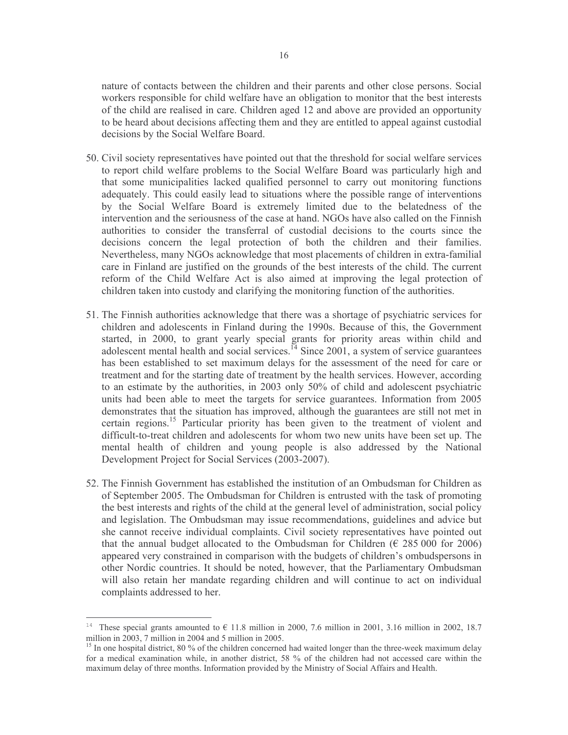nature of contacts between the children and their parents and other close persons. Social workers responsible for child welfare have an obligation to monitor that the best interests of the child are realised in care. Children aged 12 and above are provided an opportunity to be heard about decisions affecting them and they are entitled to appeal against custodial decisions by the Social Welfare Board.

- 50. Civil society representatives have pointed out that the threshold for social welfare services to report child welfare problems to the Social Welfare Board was particularly high and that some municipalities lacked qualified personnel to carry out monitoring functions adequately. This could easily lead to situations where the possible range of interventions by the Social Welfare Board is extremely limited due to the belatedness of the intervention and the seriousness of the case at hand. NGOs have also called on the Finnish authorities to consider the transferral of custodial decisions to the courts since the decisions concern the legal protection of both the children and their families. Nevertheless, many NGOs acknowledge that most placements of children in extra-familial care in Finland are justified on the grounds of the best interests of the child. The current reform of the Child Welfare Act is also aimed at improving the legal protection of children taken into custody and clarifying the monitoring function of the authorities.
- 51. The Finnish authorities acknowledge that there was a shortage of psychiatric services for children and adolescents in Finland during the 1990s. Because of this, the Government started, in 2000, to grant yearly special grants for priority areas within child and adolescent mental health and social services.<sup>14</sup> Since 2001, a system of service guarantees has been established to set maximum delays for the assessment of the need for care or treatment and for the starting date of treatment by the health services. However, according to an estimate by the authorities, in 2003 only 50% of child and adolescent psychiatric units had been able to meet the targets for service guarantees. Information from 2005 demonstrates that the situation has improved, although the guarantees are still not met in certain regions.<sup>15</sup> Particular priority has been given to the treatment of violent and difficult-to-treat children and adolescents for whom two new units have been set up. The mental health of children and young people is also addressed by the National Development Project for Social Services (2003-2007).
- 52. The Finnish Government has established the institution of an Ombudsman for Children as of September 2005. The Ombudsman for Children is entrusted with the task of promoting the best interests and rights of the child at the general level of administration, social policy and legislation. The Ombudsman may issue recommendations, guidelines and advice but she cannot receive individual complaints. Civil society representatives have pointed out that the annual budget allocated to the Ombudsman for Children ( $\epsilon$  285 000 for 2006) appeared very constrained in comparison with the budgets of children's ombudspersons in other Nordic countries. It should be noted, however, that the Parliamentary Ombudsman will also retain her mandate regarding children and will continue to act on individual complaints addressed to her.

These special grants amounted to  $\in$  11.8 million in 2000, 7.6 million in 2001, 3.16 million in 2002, 18.7 million in 2003, 7 million in 2004 and 5 million in 2005.

<sup>&</sup>lt;sup>15</sup> In one hospital district, 80 % of the children concerned had waited longer than the three-week maximum delay for a medical examination while, in another district, 58 % of the children had not accessed care within the maximum delay of three months. Information provided by the Ministry of Social Affairs and Health.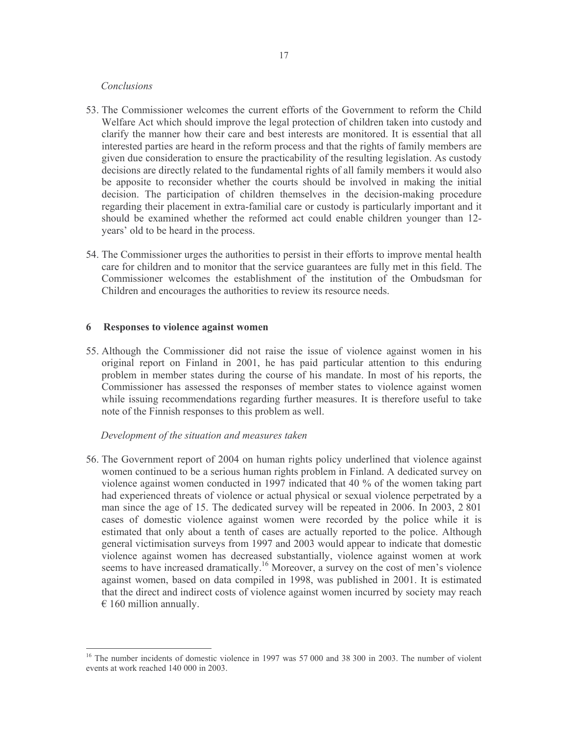#### Conclusions

- 53. The Commissioner welcomes the current efforts of the Government to reform the Child Welfare Act which should improve the legal protection of children taken into custody and clarify the manner how their care and best interests are monitored. It is essential that all interested parties are heard in the reform process and that the rights of family members are given due consideration to ensure the practicability of the resulting legislation. As custody decisions are directly related to the fundamental rights of all family members it would also be apposite to reconsider whether the courts should be involved in making the initial decision. The participation of children themselves in the decision-making procedure regarding their placement in extra-familial care or custody is particularly important and it should be examined whether the reformed act could enable children younger than 12years' old to be heard in the process.
- 54. The Commissioner urges the authorities to persist in their efforts to improve mental health care for children and to monitor that the service guarantees are fully met in this field. The Commissioner welcomes the establishment of the institution of the Ombudsman for Children and encourages the authorities to review its resource needs.

#### 6 Responses to violence against women

55. Although the Commissioner did not raise the issue of violence against women in his original report on Finland in 2001, he has paid particular attention to this enduring problem in member states during the course of his mandate. In most of his reports, the Commissioner has assessed the responses of member states to violence against women while issuing recommendations regarding further measures. It is therefore useful to take note of the Finnish responses to this problem as well.

#### Development of the situation and measures taken

56. The Government report of 2004 on human rights policy underlined that violence against women continued to be a serious human rights problem in Finland. A dedicated survey on violence against women conducted in 1997 indicated that 40 % of the women taking part had experienced threats of violence or actual physical or sexual violence perpetrated by a man since the age of 15. The dedicated survey will be repeated in 2006. In 2003, 2801 cases of domestic violence against women were recorded by the police while it is estimated that only about a tenth of cases are actually reported to the police. Although general victimisation surveys from 1997 and 2003 would appear to indicate that domestic violence against women has decreased substantially, violence against women at work seems to have increased dramatically.<sup>16</sup> Moreover, a survey on the cost of men's violence against women, based on data compiled in 1998, was published in 2001. It is estimated that the direct and indirect costs of violence against women incurred by society may reach  $\epsilon$  160 million annually.

<sup>&</sup>lt;sup>16</sup> The number incidents of domestic violence in 1997 was 57 000 and 38 300 in 2003. The number of violent events at work reached 140 000 in 2003.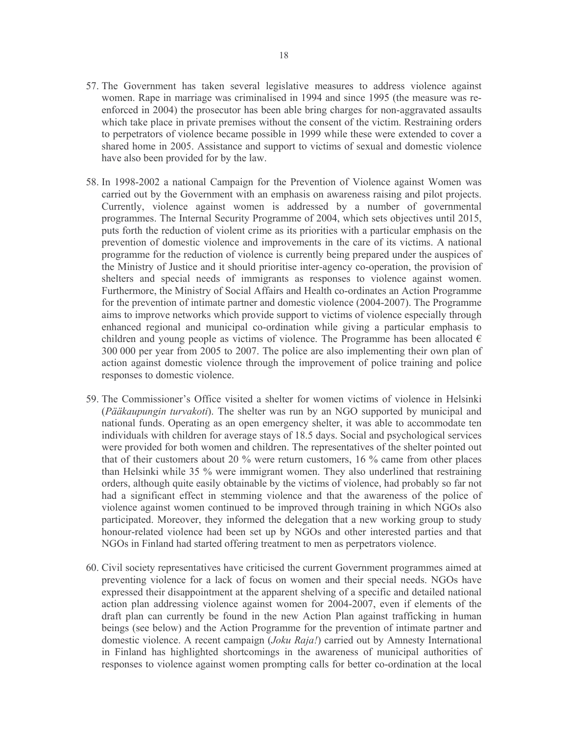- 57. The Government has taken several legislative measures to address violence against women. Rape in marriage was criminalised in 1994 and since 1995 (the measure was reenforced in 2004) the prosecutor has been able bring charges for non-aggravated assaults which take place in private premises without the consent of the victim. Restraining orders to perpetrators of violence became possible in 1999 while these were extended to cover a shared home in 2005. Assistance and support to victims of sexual and domestic violence have also been provided for by the law.
- 58. In 1998-2002 a national Campaign for the Prevention of Violence against Women was carried out by the Government with an emphasis on awareness raising and pilot projects. Currently, violence against women is addressed by a number of governmental programmes. The Internal Security Programme of 2004, which sets objectives until 2015, puts forth the reduction of violent crime as its priorities with a particular emphasis on the prevention of domestic violence and improvements in the care of its victims. A national programme for the reduction of violence is currently being prepared under the auspices of the Ministry of Justice and it should prioritise inter-agency co-operation, the provision of shelters and special needs of immigrants as responses to violence against women. Furthermore, the Ministry of Social Affairs and Health co-ordinates an Action Programme for the prevention of intimate partner and domestic violence (2004-2007). The Programme aims to improve networks which provide support to victims of violence especially through enhanced regional and municipal co-ordination while giving a particular emphasis to children and young people as victims of violence. The Programme has been allocated  $\epsilon$ 300 000 per year from 2005 to 2007. The police are also implementing their own plan of action against domestic violence through the improvement of police training and police responses to domestic violence.
- 59. The Commissioner's Office visited a shelter for women victims of violence in Helsinki (Pääkaupungin turvakoti). The shelter was run by an NGO supported by municipal and national funds. Operating as an open emergency shelter, it was able to accommodate ten individuals with children for average stays of 18.5 days. Social and psychological services were provided for both women and children. The representatives of the shelter pointed out that of their customers about 20 % were return customers, 16 % came from other places than Helsinki while 35 % were immigrant women. They also underlined that restraining orders, although quite easily obtainable by the victims of violence, had probably so far not had a significant effect in stemming violence and that the awareness of the police of violence against women continued to be improved through training in which NGOs also participated. Moreover, they informed the delegation that a new working group to study honour-related violence had been set up by NGOs and other interested parties and that NGOs in Finland had started offering treatment to men as perpetrators violence.
- 60. Civil society representatives have criticised the current Government programmes aimed at preventing violence for a lack of focus on women and their special needs. NGOs have expressed their disappointment at the apparent shelving of a specific and detailed national action plan addressing violence against women for 2004-2007, even if elements of the draft plan can currently be found in the new Action Plan against trafficking in human beings (see below) and the Action Programme for the prevention of intimate partner and domestic violence. A recent campaign (*Joku Raja!*) carried out by Amnesty International in Finland has highlighted shortcomings in the awareness of municipal authorities of responses to violence against women prompting calls for better co-ordination at the local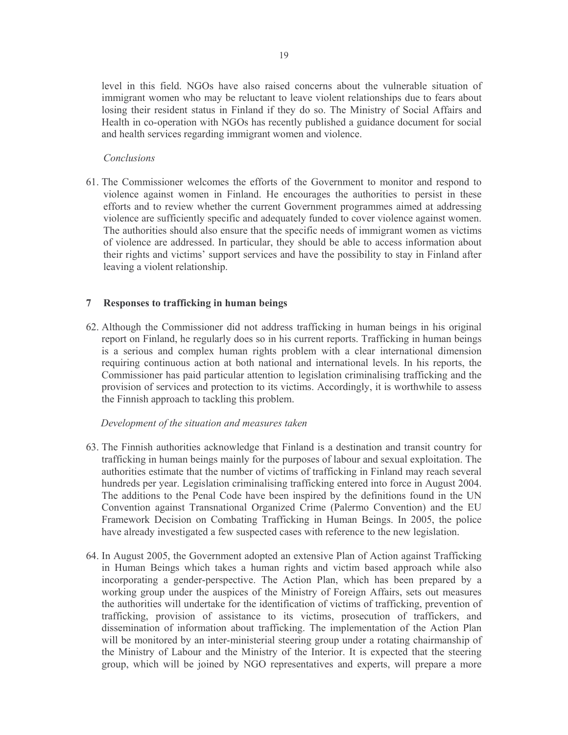level in this field. NGOs have also raised concerns about the vulnerable situation of immigrant women who may be reluctant to leave violent relationships due to fears about losing their resident status in Finland if they do so. The Ministry of Social Affairs and Health in co-operation with NGOs has recently published a guidance document for social and health services regarding immigrant women and violence.

# Conclusions

61. The Commissioner welcomes the efforts of the Government to monitor and respond to violence against women in Finland. He encourages the authorities to persist in these efforts and to review whether the current Government programmes aimed at addressing violence are sufficiently specific and adequately funded to cover violence against women. The authorities should also ensure that the specific needs of immigrant women as victims of violence are addressed. In particular, they should be able to access information about their rights and victims' support services and have the possibility to stay in Finland after leaving a violent relationship.

#### 7 Responses to trafficking in human beings

62. Although the Commissioner did not address trafficking in human beings in his original report on Finland, he regularly does so in his current reports. Trafficking in human beings is a serious and complex human rights problem with a clear international dimension requiring continuous action at both national and international levels. In his reports, the Commissioner has paid particular attention to legislation criminalising trafficking and the provision of services and protection to its victims. Accordingly, it is worthwhile to assess the Finnish approach to tackling this problem.

- 63. The Finnish authorities acknowledge that Finland is a destination and transit country for trafficking in human beings mainly for the purposes of labour and sexual exploitation. The authorities estimate that the number of victims of trafficking in Finland may reach several hundreds per year. Legislation criminalising trafficking entered into force in August 2004. The additions to the Penal Code have been inspired by the definitions found in the UN Convention against Transnational Organized Crime (Palermo Convention) and the EU Framework Decision on Combating Trafficking in Human Beings. In 2005, the police have already investigated a few suspected cases with reference to the new legislation.
- 64. In August 2005, the Government adopted an extensive Plan of Action against Trafficking in Human Beings which takes a human rights and victim based approach while also incorporating a gender-perspective. The Action Plan, which has been prepared by a working group under the auspices of the Ministry of Foreign Affairs, sets out measures the authorities will undertake for the identification of victims of trafficking, prevention of trafficking, provision of assistance to its victims, prosecution of traffickers, and dissemination of information about trafficking. The implementation of the Action Plan will be monitored by an inter-ministerial steering group under a rotating chairmanship of the Ministry of Labour and the Ministry of the Interior. It is expected that the steering group, which will be joined by NGO representatives and experts, will prepare a more